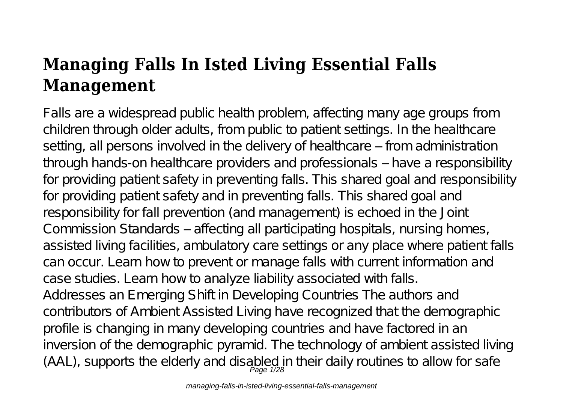# **Managing Falls In Isted Living Essential Falls Management**

Falls are a widespread public health problem, affecting many age groups from children through older adults, from public to patient settings. In the healthcare setting, all persons involved in the delivery of healthcare – from administration through hands-on healthcare providers and professionals – have a responsibility for providing patient safety in preventing falls. This shared goal and responsibility for providing patient safety and in preventing falls. This shared goal and responsibility for fall prevention (and management) is echoed in the Joint Commission Standards – affecting all participating hospitals, nursing homes, assisted living facilities, ambulatory care settings or any place where patient falls can occur. Learn how to prevent or manage falls with current information and case studies. Learn how to analyze liability associated with falls. Addresses an Emerging Shift in Developing Countries The authors and contributors of Ambient Assisted Living have recognized that the demographic profile is changing in many developing countries and have factored in an inversion of the demographic pyramid. The technology of ambient assisted living  $(AAL)$ , supports the elderly and disabled in their daily routines to allow for safe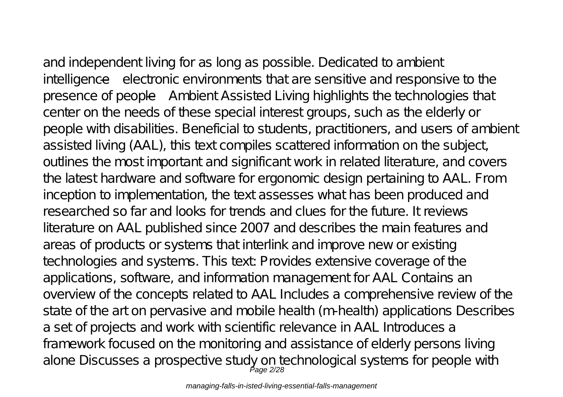and independent living for as long as possible. Dedicated to ambient intelligence—electronic environments that are sensitive and responsive to the presence of people—Ambient Assisted Living highlights the technologies that center on the needs of these special interest groups, such as the elderly or people with disabilities. Beneficial to students, practitioners, and users of ambient assisted living (AAL), this text compiles scattered information on the subject, outlines the most important and significant work in related literature, and covers the latest hardware and software for ergonomic design pertaining to AAL. From inception to implementation, the text assesses what has been produced and researched so far and looks for trends and clues for the future. It reviews literature on AAL published since 2007 and describes the main features and areas of products or systems that interlink and improve new or existing technologies and systems. This text: Provides extensive coverage of the applications, software, and information management for AAL Contains an overview of the concepts related to AAL Includes a comprehensive review of the state of the art on pervasive and mobile health (m-health) applications Describes a set of projects and work with scientific relevance in AAL Introduces a framework focused on the monitoring and assistance of elderly persons living alone Discusses a prospective study on technological systems for people with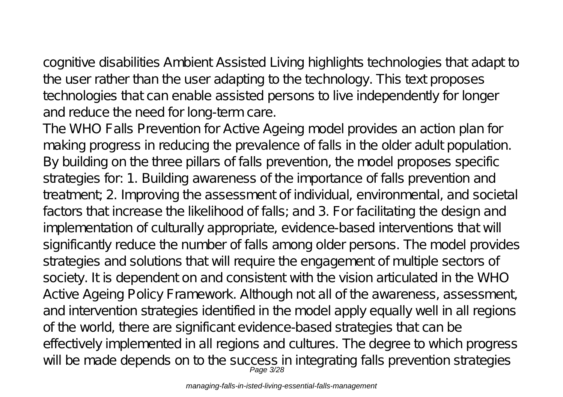cognitive disabilities Ambient Assisted Living highlights technologies that adapt to the user rather than the user adapting to the technology. This text proposes technologies that can enable assisted persons to live independently for longer and reduce the need for long-term care.

The WHO Falls Prevention for Active Ageing model provides an action plan for making progress in reducing the prevalence of falls in the older adult population. By building on the three pillars of falls prevention, the model proposes specific strategies for: 1. Building awareness of the importance of falls prevention and treatment; 2. Improving the assessment of individual, environmental, and societal factors that increase the likelihood of falls; and 3. For facilitating the design and implementation of culturally appropriate, evidence-based interventions that will significantly reduce the number of falls among older persons. The model provides strategies and solutions that will require the engagement of multiple sectors of society. It is dependent on and consistent with the vision articulated in the WHO Active Ageing Policy Framework. Although not all of the awareness, assessment, and intervention strategies identified in the model apply equally well in all regions of the world, there are significant evidence-based strategies that can be effectively implemented in all regions and cultures. The degree to which progress will be made depends on to the success in integrating falls prevention strategies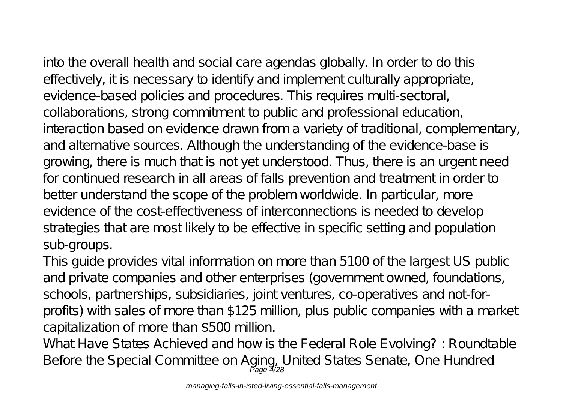into the overall health and social care agendas globally. In order to do this effectively, it is necessary to identify and implement culturally appropriate, evidence-based policies and procedures. This requires multi-sectoral, collaborations, strong commitment to public and professional education, interaction based on evidence drawn from a variety of traditional, complementary, and alternative sources. Although the understanding of the evidence-base is growing, there is much that is not yet understood. Thus, there is an urgent need for continued research in all areas of falls prevention and treatment in order to better understand the scope of the problem worldwide. In particular, more evidence of the cost-effectiveness of interconnections is needed to develop strategies that are most likely to be effective in specific setting and population sub-groups.

This guide provides vital information on more than 5100 of the largest US public and private companies and other enterprises (government owned, foundations, schools, partnerships, subsidiaries, joint ventures, co-operatives and not-forprofits) with sales of more than \$125 million, plus public companies with a market capitalization of more than \$500 million.

What Have States Achieved and how is the Federal Role Evolving? : Roundtable Before the Special Committee on Aging, United States Senate, One Hundred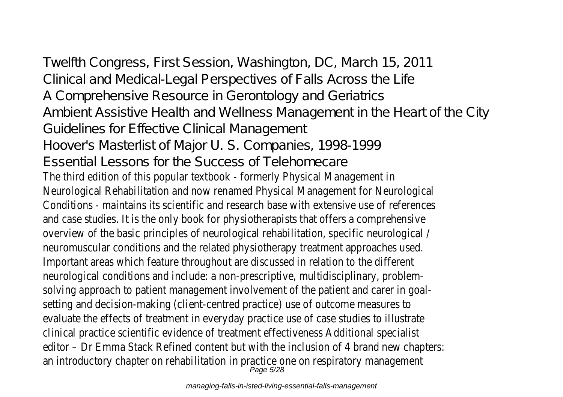Twelfth Congress, First Session, Washington, DC, March 15, 2011 Clinical and Medical-Legal Perspectives of Falls Across the Life A Comprehensive Resource in Gerontology and Geriatrics Ambient Assistive Health and Wellness Management in the Heart of the City Guidelines for Effective Clinical Management Hoover's Masterlist of Major U. S. Companies, 1998-1999 Essential Lessons for the Success of Telehomecare The third edition of this popular textbook - formerly Physical Management in Neurological Rehabilitation and now renamed Physical Management for Neurological Conditions - maintains its scientific and research base with extensive use of references and case studies. It is the only book for physiotherapists that offers a comprehensive overview of the basic principles of neurological rehabilitation, specific neurological / neuromuscular conditions and the related physiotherapy treatment approaches used. Important areas which feature throughout are discussed in relation to the different neurological conditions and include: a non-prescriptive, multidisciplinary, problemsolving approach to patient management involvement of the patient and carer in goalsetting and decision-making (client-centred practice) use of outcome measures to evaluate the effects of treatment in everyday practice use of case studies to illustrate clinical practice scientific evidence of treatment effectiveness Additional specialist editor – Dr Emma Stack Refined content but with the inclusion of 4 brand new chapters: an introductory chapter on rehabilitation in practice one on respiratory management<br>Page 5/28

managing-falls-in-isted-living-essential-falls-management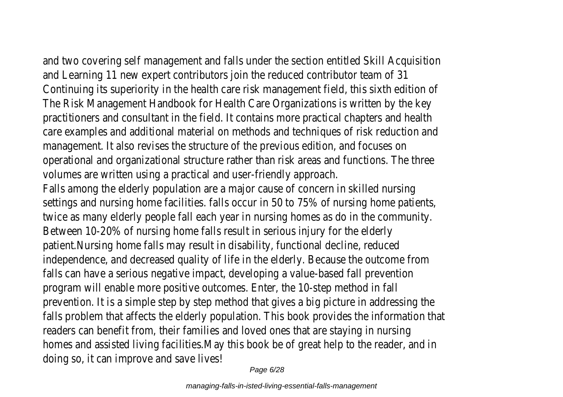and two covering self management and falls under the section entitled Skill Acquisition and Learning 11 new expert contributors join the reduced contributor team of 31 Continuing its superiority in the health care risk management field, this sixth edition of The Risk Management Handbook for Health Care Organizations is written by the key practitioners and consultant in the field. It contains more practical chapters and health care examples and additional material on methods and techniques of risk reduction and management. It also revises the structure of the previous edition, and focuses on operational and organizational structure rather than risk areas and functions. The three volumes are written using a practical and user-friendly approach.

Falls among the elderly population are a major cause of concern in skilled nursing settings and nursing home facilities. falls occur in 50 to 75% of nursing home patients, twice as many elderly people fall each year in nursing homes as do in the community. Between 10-20% of nursing home falls result in serious injury for the elderly patient.Nursing home falls may result in disability, functional decline, reduced independence, and decreased quality of life in the elderly. Because the outcome from falls can have a serious negative impact, developing a value-based fall prevention program will enable more positive outcomes. Enter, the 10-step method in fall prevention. It is a simple step by step method that gives a big picture in addressing the falls problem that affects the elderly population. This book provides the information that readers can benefit from, their families and loved ones that are staying in nursing homes and assisted living facilities.May this book be of great help to the reader, and in doing so, it can improve and save lives!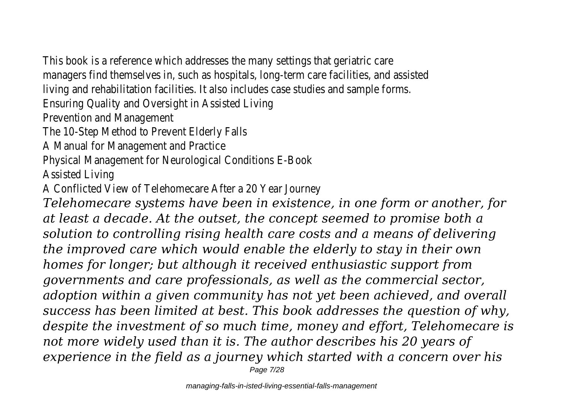This book is a reference which addresses the many settings that geriatric care managers find themselves in, such as hospitals, long-term care facilities, and assisted living and rehabilitation facilities. It also includes case studies and sample forms.

Ensuring Quality and Oversight in Assisted Living

Prevention and Management

The 10-Step Method to Prevent Elderly Falls

A Manual for Management and Practice

Physical Management for Neurological Conditions E-Book

Assisted Living

A Conflicted View of Telehomecare After a 20 Year Journey

*Telehomecare systems have been in existence, in one form or another, for at least a decade. At the outset, the concept seemed to promise both a solution to controlling rising health care costs and a means of delivering the improved care which would enable the elderly to stay in their own homes for longer; but although it received enthusiastic support from governments and care professionals, as well as the commercial sector, adoption within a given community has not yet been achieved, and overall success has been limited at best. This book addresses the question of why, despite the investment of so much time, money and effort, Telehomecare is not more widely used than it is. The author describes his 20 years of experience in the field as a journey which started with a concern over his* Page 7/28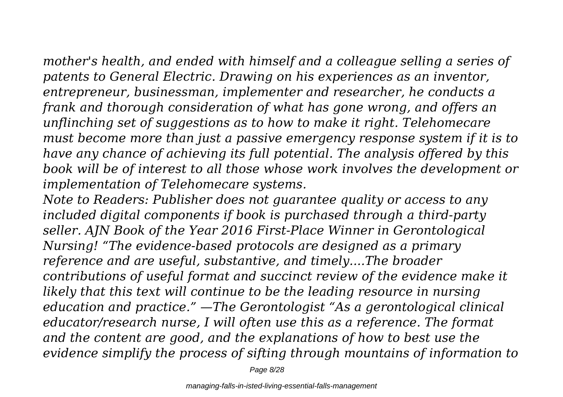*mother's health, and ended with himself and a colleague selling a series of patents to General Electric. Drawing on his experiences as an inventor, entrepreneur, businessman, implementer and researcher, he conducts a frank and thorough consideration of what has gone wrong, and offers an unflinching set of suggestions as to how to make it right. Telehomecare must become more than just a passive emergency response system if it is to have any chance of achieving its full potential. The analysis offered by this book will be of interest to all those whose work involves the development or implementation of Telehomecare systems.*

*Note to Readers: Publisher does not guarantee quality or access to any included digital components if book is purchased through a third-party seller. AJN Book of the Year 2016 First-Place Winner in Gerontological Nursing! "The evidence-based protocols are designed as a primary reference and are useful, substantive, and timely....The broader contributions of useful format and succinct review of the evidence make it likely that this text will continue to be the leading resource in nursing education and practice." —The Gerontologist "As a gerontological clinical educator/research nurse, I will often use this as a reference. The format and the content are good, and the explanations of how to best use the evidence simplify the process of sifting through mountains of information to*

Page 8/28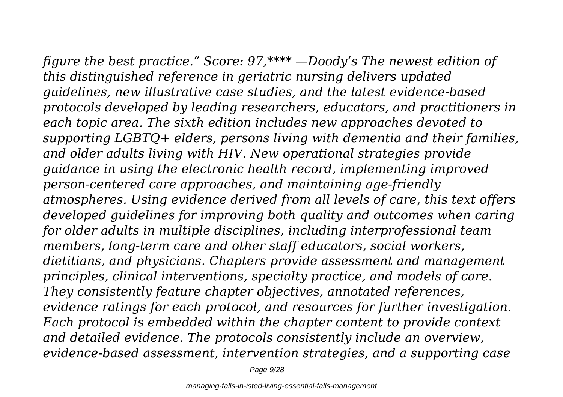*figure the best practice." Score: 97,\*\*\*\* —Doody's The newest edition of this distinguished reference in geriatric nursing delivers updated guidelines, new illustrative case studies, and the latest evidence-based protocols developed by leading researchers, educators, and practitioners in each topic area. The sixth edition includes new approaches devoted to supporting LGBTQ+ elders, persons living with dementia and their families, and older adults living with HIV. New operational strategies provide guidance in using the electronic health record, implementing improved person-centered care approaches, and maintaining age-friendly atmospheres. Using evidence derived from all levels of care, this text offers developed guidelines for improving both quality and outcomes when caring for older adults in multiple disciplines, including interprofessional team members, long-term care and other staff educators, social workers, dietitians, and physicians. Chapters provide assessment and management principles, clinical interventions, specialty practice, and models of care. They consistently feature chapter objectives, annotated references, evidence ratings for each protocol, and resources for further investigation. Each protocol is embedded within the chapter content to provide context and detailed evidence. The protocols consistently include an overview, evidence-based assessment, intervention strategies, and a supporting case*

Page 9/28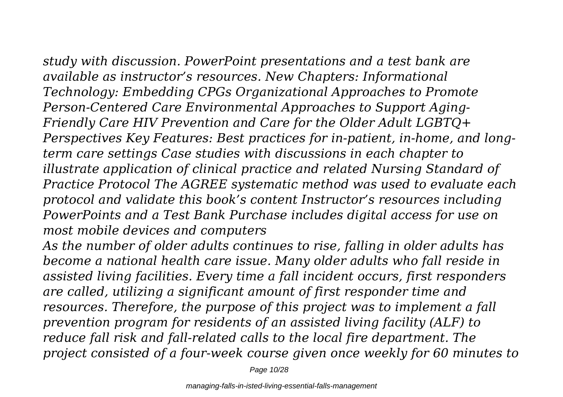*study with discussion. PowerPoint presentations and a test bank are available as instructor's resources. New Chapters: Informational Technology: Embedding CPGs Organizational Approaches to Promote Person-Centered Care Environmental Approaches to Support Aging-Friendly Care HIV Prevention and Care for the Older Adult LGBTQ+ Perspectives Key Features: Best practices for in-patient, in-home, and longterm care settings Case studies with discussions in each chapter to illustrate application of clinical practice and related Nursing Standard of Practice Protocol The AGREE systematic method was used to evaluate each protocol and validate this book's content Instructor's resources including PowerPoints and a Test Bank Purchase includes digital access for use on most mobile devices and computers*

*As the number of older adults continues to rise, falling in older adults has become a national health care issue. Many older adults who fall reside in assisted living facilities. Every time a fall incident occurs, first responders are called, utilizing a significant amount of first responder time and resources. Therefore, the purpose of this project was to implement a fall prevention program for residents of an assisted living facility (ALF) to reduce fall risk and fall-related calls to the local fire department. The project consisted of a four-week course given once weekly for 60 minutes to*

Page 10/28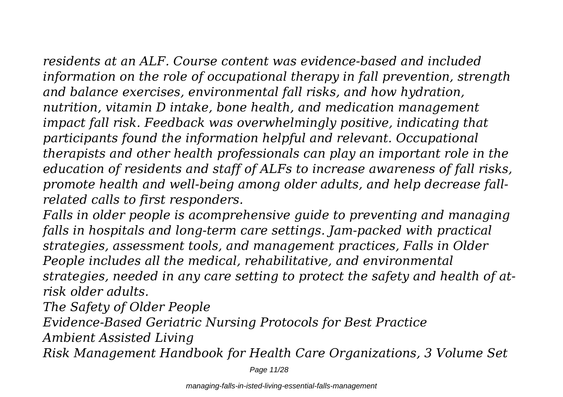*residents at an ALF. Course content was evidence-based and included information on the role of occupational therapy in fall prevention, strength and balance exercises, environmental fall risks, and how hydration, nutrition, vitamin D intake, bone health, and medication management impact fall risk. Feedback was overwhelmingly positive, indicating that participants found the information helpful and relevant. Occupational therapists and other health professionals can play an important role in the education of residents and staff of ALFs to increase awareness of fall risks, promote health and well-being among older adults, and help decrease fallrelated calls to first responders.*

*Falls in older people is acomprehensive guide to preventing and managing falls in hospitals and long-term care settings. Jam-packed with practical strategies, assessment tools, and management practices, Falls in Older People includes all the medical, rehabilitative, and environmental strategies, needed in any care setting to protect the safety and health of atrisk older adults.*

*The Safety of Older People*

*Evidence-Based Geriatric Nursing Protocols for Best Practice*

*Ambient Assisted Living*

*Risk Management Handbook for Health Care Organizations, 3 Volume Set*

Page 11/28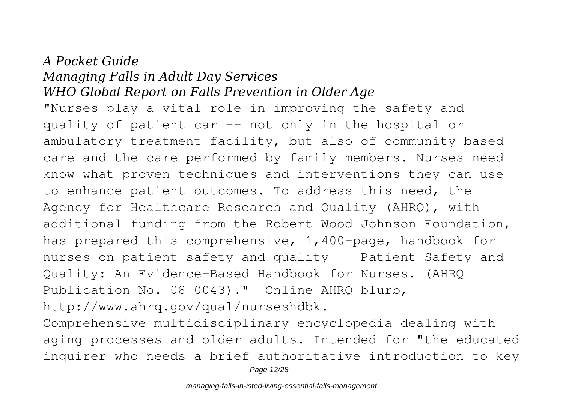### *A Pocket Guide Managing Falls in Adult Day Services WHO Global Report on Falls Prevention in Older Age*

"Nurses play a vital role in improving the safety and quality of patient car -- not only in the hospital or ambulatory treatment facility, but also of community-based care and the care performed by family members. Nurses need know what proven techniques and interventions they can use to enhance patient outcomes. To address this need, the Agency for Healthcare Research and Quality (AHRQ), with additional funding from the Robert Wood Johnson Foundation, has prepared this comprehensive, 1,400-page, handbook for nurses on patient safety and quality -- Patient Safety and Quality: An Evidence-Based Handbook for Nurses. (AHRQ Publication No. 08-0043)."--Online AHRQ blurb, http://www.ahrq.gov/qual/nurseshdbk.

Comprehensive multidisciplinary encyclopedia dealing with aging processes and older adults. Intended for "the educated inquirer who needs a brief authoritative introduction to key

Page 12/28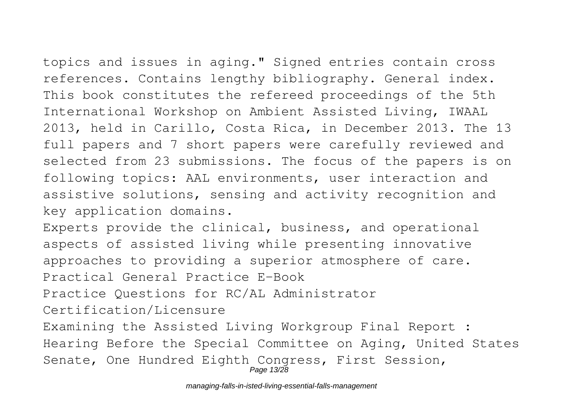topics and issues in aging." Signed entries contain cross references. Contains lengthy bibliography. General index. This book constitutes the refereed proceedings of the 5th International Workshop on Ambient Assisted Living, IWAAL 2013, held in Carillo, Costa Rica, in December 2013. The 13 full papers and 7 short papers were carefully reviewed and selected from 23 submissions. The focus of the papers is on following topics: AAL environments, user interaction and assistive solutions, sensing and activity recognition and key application domains.

Experts provide the clinical, business, and operational aspects of assisted living while presenting innovative approaches to providing a superior atmosphere of care. Practical General Practice E-Book

Practice Questions for RC/AL Administrator

Certification/Licensure

Examining the Assisted Living Workgroup Final Report : Hearing Before the Special Committee on Aging, United States Senate, One Hundred Eighth Congress, First Session, Page 13/28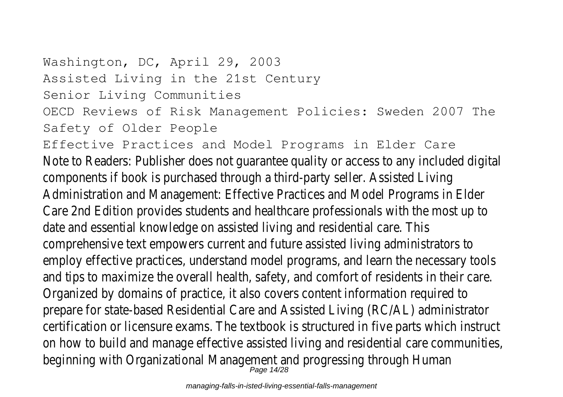Washington, DC, April 29, 2003 Assisted Living in the 21st Century Senior Living Communities OECD Reviews of Risk Management Policies: Sweden 2007 The Safety of Older People Effective Practices and Model Programs in Elder Care Note to Readers: Publisher does not guarantee quality or access to any included digital components if book is purchased through a third-party seller. Assisted Living Administration and Management: Effective Practices and Model Programs in Elder Care 2nd Edition provides students and healthcare professionals with the most up to date and essential knowledge on assisted living and residential care. This comprehensive text empowers current and future assisted living administrators to employ effective practices, understand model programs, and learn the necessary tools and tips to maximize the overall health, safety, and comfort of residents in their care. Organized by domains of practice, it also covers content information required to prepare for state-based Residential Care and Assisted Living (RC/AL) administrator certification or licensure exams. The textbook is structured in five parts which instruct on how to build and manage effective assisted living and residential care communities, beginning with Organizational Management and progressing through Human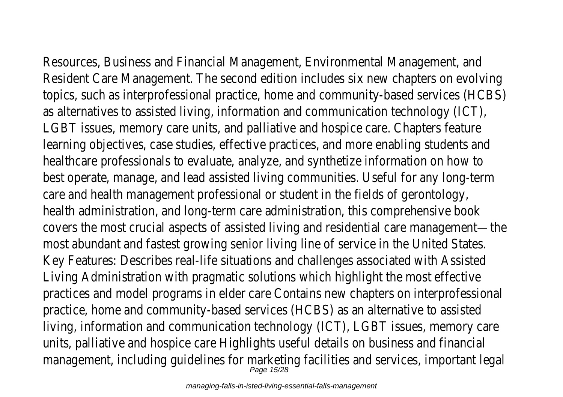Resources, Business and Financial Management, Environmental Management, and Resident Care Management. The second edition includes six new chapters on evolving topics, such as interprofessional practice, home and community-based services (HCBS) as alternatives to assisted living, information and communication technology (ICT), LGBT issues, memory care units, and palliative and hospice care. Chapters feature learning objectives, case studies, effective practices, and more enabling students and healthcare professionals to evaluate, analyze, and synthetize information on how to best operate, manage, and lead assisted living communities. Useful for any long-term care and health management professional or student in the fields of gerontology, health administration, and long-term care administration, this comprehensive book covers the most crucial aspects of assisted living and residential care management—the most abundant and fastest growing senior living line of service in the United States. Key Features: Describes real-life situations and challenges associated with Assisted Living Administration with pragmatic solutions which highlight the most effective practices and model programs in elder care Contains new chapters on interprofessional practice, home and community-based services (HCBS) as an alternative to assisted living, information and communication technology (ICT), LGBT issues, memory care units, palliative and hospice care Highlights useful details on business and financial management, including guidelines for marketing facilities and services, important legal

Page 15/28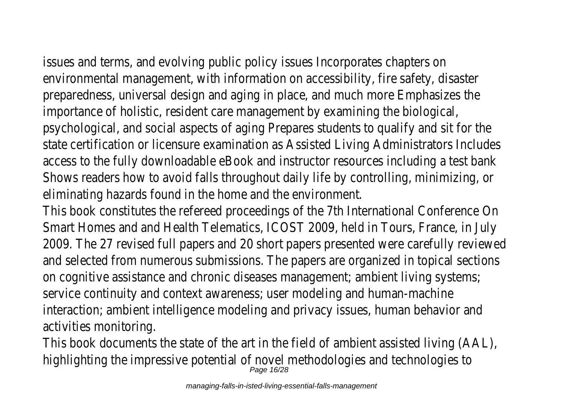issues and terms, and evolving public policy issues Incorporates chapters on environmental management, with information on accessibility, fire safety, disaster preparedness, universal design and aging in place, and much more Emphasizes the importance of holistic, resident care management by examining the biological, psychological, and social aspects of aging Prepares students to qualify and sit for the state certification or licensure examination as Assisted Living Administrators Includes access to the fully downloadable eBook and instructor resources including a test bank Shows readers how to avoid falls throughout daily life by controlling, minimizing, or eliminating hazards found in the home and the environment.

This book constitutes the refereed proceedings of the 7th International Conference On Smart Homes and and Health Telematics, ICOST 2009, held in Tours, France, in July 2009. The 27 revised full papers and 20 short papers presented were carefully reviewed and selected from numerous submissions. The papers are organized in topical sections on cognitive assistance and chronic diseases management; ambient living systems; service continuity and context awareness; user modeling and human-machine interaction; ambient intelligence modeling and privacy issues, human behavior and activities monitoring.

This book documents the state of the art in the field of ambient assisted living (AAL), highlighting the impressive potential of novel methodologies and technologies to Page 16/28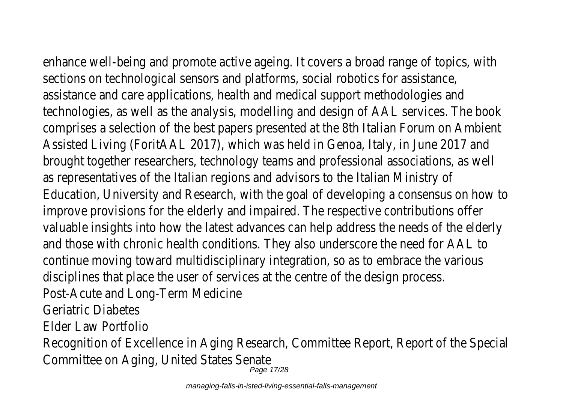enhance well-being and promote active ageing. It covers a broad range of topics, with

sections on technological sensors and platforms, social robotics for assistance, assistance and care applications, health and medical support methodologies and technologies, as well as the analysis, modelling and design of AAL services. The book comprises a selection of the best papers presented at the 8th Italian Forum on Ambient Assisted Living (ForitAAL 2017), which was held in Genoa, Italy, in June 2017 and brought together researchers, technology teams and professional associations, as well as representatives of the Italian regions and advisors to the Italian Ministry of Education, University and Research, with the goal of developing a consensus on how to improve provisions for the elderly and impaired. The respective contributions offer valuable insights into how the latest advances can help address the needs of the elderly and those with chronic health conditions. They also underscore the need for AAL to continue moving toward multidisciplinary integration, so as to embrace the various disciplines that place the user of services at the centre of the design process. Post-Acute and Long-Term Medicine Geriatric Diabetes Elder Law Portfolio Recognition of Excellence in Aging Research, Committee Report, Report of the Special

Committee on Aging, United States Senate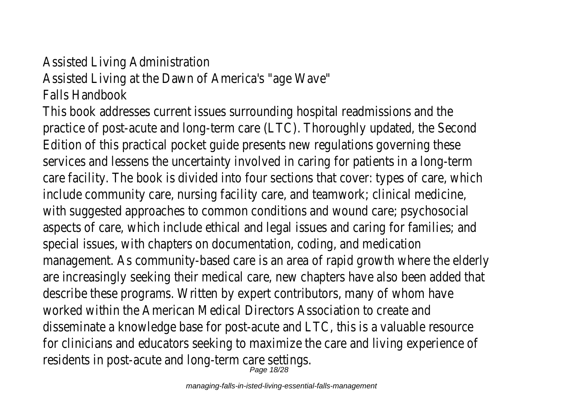# Assisted Living Administration Assisted Living at the Dawn of America's "age Wave" Falls Handbook

This book addresses current issues surrounding hospital readmissions and the practice of post-acute and long-term care (LTC). Thoroughly updated, the Second Edition of this practical pocket guide presents new regulations governing these services and lessens the uncertainty involved in caring for patients in a long-term care facility. The book is divided into four sections that cover: types of care, which include community care, nursing facility care, and teamwork; clinical medicine, with suggested approaches to common conditions and wound care; psychosocial aspects of care, which include ethical and legal issues and caring for families; and special issues, with chapters on documentation, coding, and medication management. As community-based care is an area of rapid growth where the elderly are increasingly seeking their medical care, new chapters have also been added that describe these programs. Written by expert contributors, many of whom have worked within the American Medical Directors Association to create and disseminate a knowledge base for post-acute and LTC, this is a valuable resource for clinicians and educators seeking to maximize the care and living experience of residents in post-acute and long-term care settings.<br>Page 18/28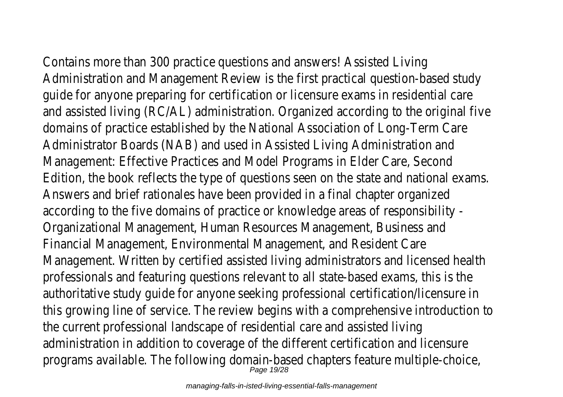Contains more than 300 practice questions and answers! Assisted Living Administration and Management Review is the first practical question-based study guide for anyone preparing for certification or licensure exams in residential care and assisted living (RC/AL) administration. Organized according to the original five domains of practice established by the National Association of Long-Term Care Administrator Boards (NAB) and used in Assisted Living Administration and Management: Effective Practices and Model Programs in Elder Care, Second Edition, the book reflects the type of questions seen on the state and national exams. Answers and brief rationales have been provided in a final chapter organized according to the five domains of practice or knowledge areas of responsibility - Organizational Management, Human Resources Management, Business and Financial Management, Environmental Management, and Resident Care Management. Written by certified assisted living administrators and licensed health professionals and featuring questions relevant to all state-based exams, this is the authoritative study guide for anyone seeking professional certification/licensure in this growing line of service. The review begins with a comprehensive introduction to the current professional landscape of residential care and assisted living administration in addition to coverage of the different certification and licensure programs available. The following domain-based chapters feature multiple-choice,<br>Page 19/28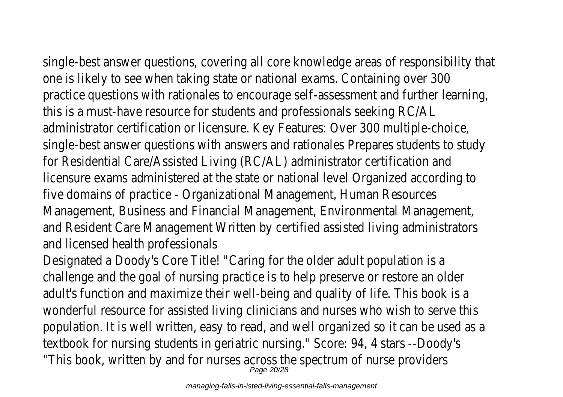single-best answer questions, covering all core knowledge areas of responsibility that one is likely to see when taking state or national exams. Containing over 300 practice questions with rationales to encourage self-assessment and further learning, this is a must-have resource for students and professionals seeking RC/AL administrator certification or licensure. Key Features: Over 300 multiple-choice, single-best answer questions with answers and rationales Prepares students to study for Residential Care/Assisted Living (RC/AL) administrator certification and licensure exams administered at the state or national level Organized according to five domains of practice - Organizational Management, Human Resources Management, Business and Financial Management, Environmental Management, and Resident Care Management Written by certified assisted living administrators and licensed health professionals

Designated a Doody's Core Title! "Caring for the older adult population is a challenge and the goal of nursing practice is to help preserve or restore an older adult's function and maximize their well-being and quality of life. This book is a wonderful resource for assisted living clinicians and nurses who wish to serve this population. It is well written, easy to read, and well organized so it can be used as a textbook for nursing students in geriatric nursing." Score: 94, 4 stars --Doody's "This book, written by and for nurses across the spectrum of nurse providers  $_{\it Page\,20/28}^{\it Page\,20/28}$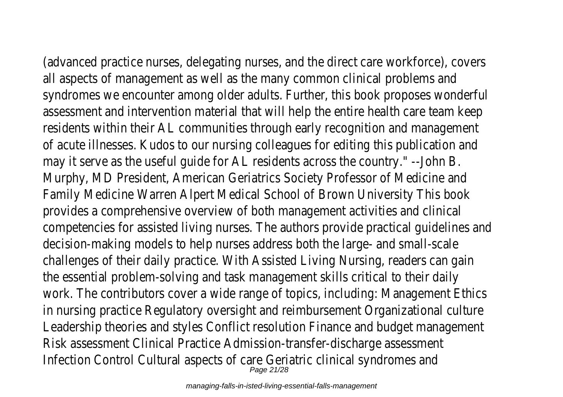(advanced practice nurses, delegating nurses, and the direct care workforce), covers all aspects of management as well as the many common clinical problems and syndromes we encounter among older adults. Further, this book proposes wonderful assessment and intervention material that will help the entire health care team keep residents within their AL communities through early recognition and management of acute illnesses. Kudos to our nursing colleagues for editing this publication and may it serve as the useful guide for AL residents across the country." --John B. Murphy, MD President, American Geriatrics Society Professor of Medicine and Family Medicine Warren Alpert Medical School of Brown University This book provides a comprehensive overview of both management activities and clinical competencies for assisted living nurses. The authors provide practical guidelines and decision-making models to help nurses address both the large- and small-scale challenges of their daily practice. With Assisted Living Nursing, readers can gain the essential problem-solving and task management skills critical to their daily work. The contributors cover a wide range of topics, including: Management Ethics in nursing practice Regulatory oversight and reimbursement Organizational culture Leadership theories and styles Conflict resolution Finance and budget management Risk assessment Clinical Practice Admission-transfer-discharge assessment Infection Control Cultural aspects of care Geriatric clinical syndromes and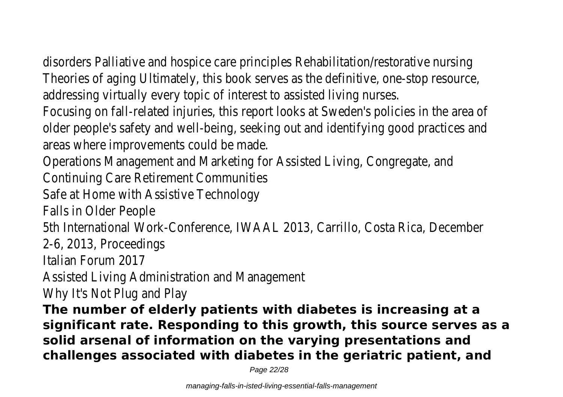disorders Palliative and hospice care principles Rehabilitation/restorative nursing Theories of aging Ultimately, this book serves as the definitive, one-stop resource, addressing virtually every topic of interest to assisted living nurses.

Focusing on fall-related injuries, this report looks at Sweden's policies in the area of older people's safety and well-being, seeking out and identifying good practices and areas where improvements could be made.

Operations Management and Marketing for Assisted Living, Congregate, and

Continuing Care Retirement Communities

Safe at Home with Assistive Technology

Falls in Older People

5th International Work-Conference, IWAAL 2013, Carrillo, Costa Rica, December

2-6, 2013, Proceedings

Italian Forum 2017

Assisted Living Administration and Management

Why It's Not Plug and Play

**The number of elderly patients with diabetes is increasing at a significant rate. Responding to this growth, this source serves as a solid arsenal of information on the varying presentations and challenges associated with diabetes in the geriatric patient, and**

Page 22/28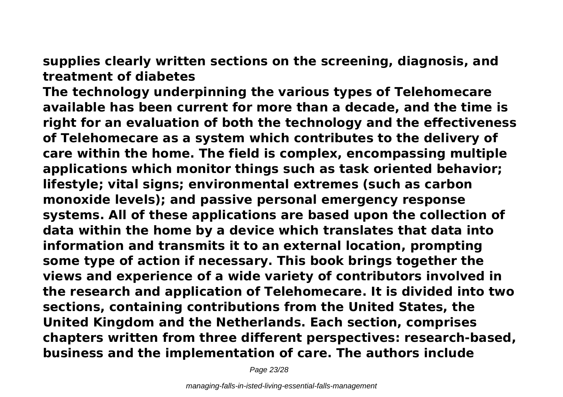**supplies clearly written sections on the screening, diagnosis, and treatment of diabetes**

**The technology underpinning the various types of Telehomecare available has been current for more than a decade, and the time is right for an evaluation of both the technology and the effectiveness of Telehomecare as a system which contributes to the delivery of care within the home. The field is complex, encompassing multiple applications which monitor things such as task oriented behavior; lifestyle; vital signs; environmental extremes (such as carbon monoxide levels); and passive personal emergency response systems. All of these applications are based upon the collection of data within the home by a device which translates that data into information and transmits it to an external location, prompting some type of action if necessary. This book brings together the views and experience of a wide variety of contributors involved in the research and application of Telehomecare. It is divided into two sections, containing contributions from the United States, the United Kingdom and the Netherlands. Each section, comprises chapters written from three different perspectives: research-based, business and the implementation of care. The authors include**

Page 23/28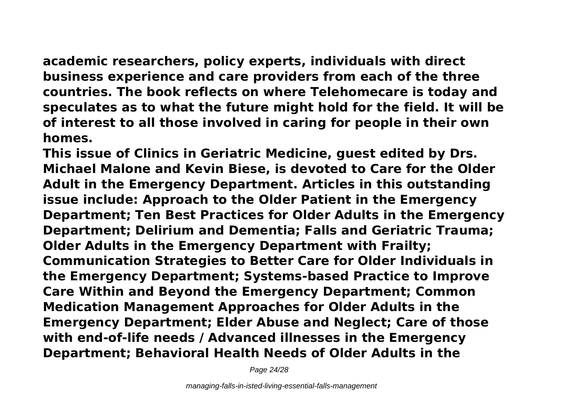**academic researchers, policy experts, individuals with direct business experience and care providers from each of the three countries. The book reflects on where Telehomecare is today and speculates as to what the future might hold for the field. It will be of interest to all those involved in caring for people in their own homes.**

**This issue of Clinics in Geriatric Medicine, guest edited by Drs. Michael Malone and Kevin Biese, is devoted to Care for the Older Adult in the Emergency Department. Articles in this outstanding issue include: Approach to the Older Patient in the Emergency Department; Ten Best Practices for Older Adults in the Emergency Department; Delirium and Dementia; Falls and Geriatric Trauma; Older Adults in the Emergency Department with Frailty; Communication Strategies to Better Care for Older Individuals in the Emergency Department; Systems-based Practice to Improve Care Within and Beyond the Emergency Department; Common Medication Management Approaches for Older Adults in the Emergency Department; Elder Abuse and Neglect; Care of those with end-of-life needs / Advanced illnesses in the Emergency Department; Behavioral Health Needs of Older Adults in the**

Page 24/28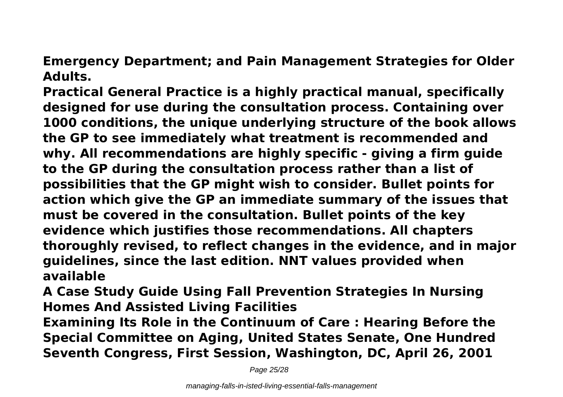**Emergency Department; and Pain Management Strategies for Older Adults.**

**Practical General Practice is a highly practical manual, specifically designed for use during the consultation process. Containing over 1000 conditions, the unique underlying structure of the book allows the GP to see immediately what treatment is recommended and why. All recommendations are highly specific - giving a firm guide to the GP during the consultation process rather than a list of possibilities that the GP might wish to consider. Bullet points for action which give the GP an immediate summary of the issues that must be covered in the consultation. Bullet points of the key evidence which justifies those recommendations. All chapters thoroughly revised, to reflect changes in the evidence, and in major guidelines, since the last edition. NNT values provided when available**

**A Case Study Guide Using Fall Prevention Strategies In Nursing Homes And Assisted Living Facilities**

**Examining Its Role in the Continuum of Care : Hearing Before the Special Committee on Aging, United States Senate, One Hundred Seventh Congress, First Session, Washington, DC, April 26, 2001**

Page 25/28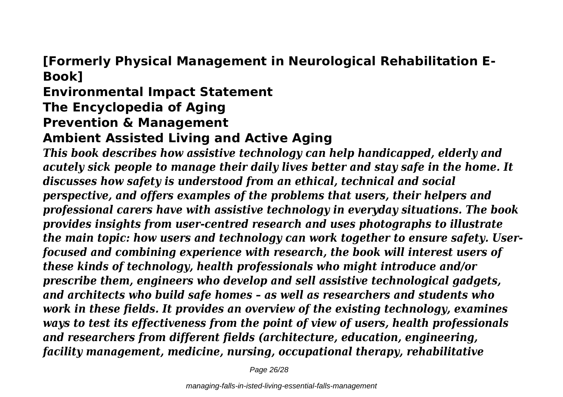# **[Formerly Physical Management in Neurological Rehabilitation E-Book]**

# **Environmental Impact Statement The Encyclopedia of Aging**

# **Prevention & Management**

## **Ambient Assisted Living and Active Aging**

*This book describes how assistive technology can help handicapped, elderly and acutely sick people to manage their daily lives better and stay safe in the home. It discusses how safety is understood from an ethical, technical and social perspective, and offers examples of the problems that users, their helpers and professional carers have with assistive technology in everyday situations. The book provides insights from user-centred research and uses photographs to illustrate the main topic: how users and technology can work together to ensure safety. Userfocused and combining experience with research, the book will interest users of these kinds of technology, health professionals who might introduce and/or prescribe them, engineers who develop and sell assistive technological gadgets, and architects who build safe homes – as well as researchers and students who work in these fields. It provides an overview of the existing technology, examines ways to test its effectiveness from the point of view of users, health professionals and researchers from different fields (architecture, education, engineering, facility management, medicine, nursing, occupational therapy, rehabilitative*

Page 26/28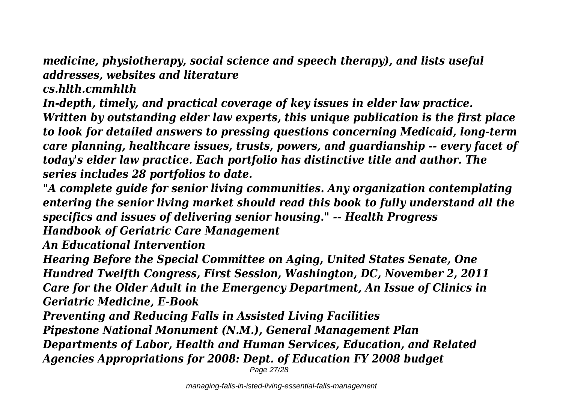*medicine, physiotherapy, social science and speech therapy), and lists useful addresses, websites and literature*

*cs.hlth.cmmhlth*

*In-depth, timely, and practical coverage of key issues in elder law practice.*

*Written by outstanding elder law experts, this unique publication is the first place to look for detailed answers to pressing questions concerning Medicaid, long-term care planning, healthcare issues, trusts, powers, and guardianship -- every facet of today's elder law practice. Each portfolio has distinctive title and author. The series includes 28 portfolios to date.*

*"A complete guide for senior living communities. Any organization contemplating entering the senior living market should read this book to fully understand all the specifics and issues of delivering senior housing." -- Health Progress Handbook of Geriatric Care Management*

*An Educational Intervention*

*Hearing Before the Special Committee on Aging, United States Senate, One Hundred Twelfth Congress, First Session, Washington, DC, November 2, 2011 Care for the Older Adult in the Emergency Department, An Issue of Clinics in Geriatric Medicine, E-Book*

*Preventing and Reducing Falls in Assisted Living Facilities*

*Pipestone National Monument (N.M.), General Management Plan*

*Departments of Labor, Health and Human Services, Education, and Related Agencies Appropriations for 2008: Dept. of Education FY 2008 budget*

Page 27/28